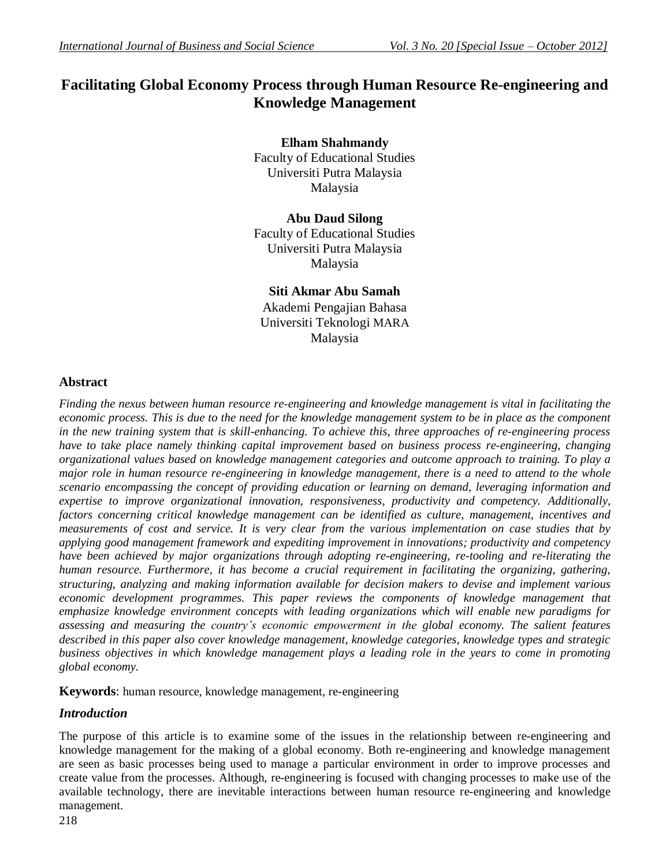# **Facilitating Global Economy Process through Human Resource Re-engineering and Knowledge Management**

## **Elham Shahmandy**

Faculty of Educational Studies Universiti Putra Malaysia Malaysia

## **Abu Daud Silong**

Faculty of Educational Studies Universiti Putra Malaysia Malaysia

## **Siti Akmar Abu Samah** Akademi Pengajian Bahasa Universiti Teknologi MARA Malaysia

# **Abstract**

*Finding the nexus between human resource re*-*engineering and knowledge management is vital in facilitating the economic process. This is due to the need for the knowledge management system to be in place as the component in the new training system that is skill-enhancing. To achieve this, three approaches of re-engineering process have to take place namely thinking capital improvement based on business process re*-*engineering, changing organizational values based on knowledge management categories and outcome approach to training. To play a major role in human resource re-engineering in knowledge management, there is a need to attend to the whole scenario encompassing the concept of providing education or learning on demand, leveraging information and expertise to improve organizational innovation, responsiveness, productivity and competency. Additionally, factors concerning critical knowledge management can be identified as culture, management, incentives and measurements of cost and service. It is very clear from the various implementation on case studies that by applying good management framework and expediting improvement in innovations; productivity and competency have been achieved by major organizations through adopting re-engineering, re-tooling and re-literating the human resource. Furthermore, it has become a crucial requirement in facilitating the organizing, gathering, structuring, analyzing and making information available for decision makers to devise and implement various economic development programmes. This paper reviews the components of knowledge management that emphasize knowledge environment concepts with leading organizations which will enable new paradigms for assessing and measuring the country's economic empowerment in the global economy. The salient features described in this paper also cover knowledge management, knowledge categories, knowledge types and strategic business objectives in which knowledge management plays a leading role in the years to come in promoting global economy.*

**Keywords**: human resource, knowledge management, re-engineering

## *Introduction*

The purpose of this article is to examine some of the issues in the relationship between re-engineering and knowledge management for the making of a global economy. Both re-engineering and knowledge management are seen as basic processes being used to manage a particular environment in order to improve processes and create value from the processes. Although, re-engineering is focused with changing processes to make use of the available technology, there are inevitable interactions between human resource re-engineering and knowledge management.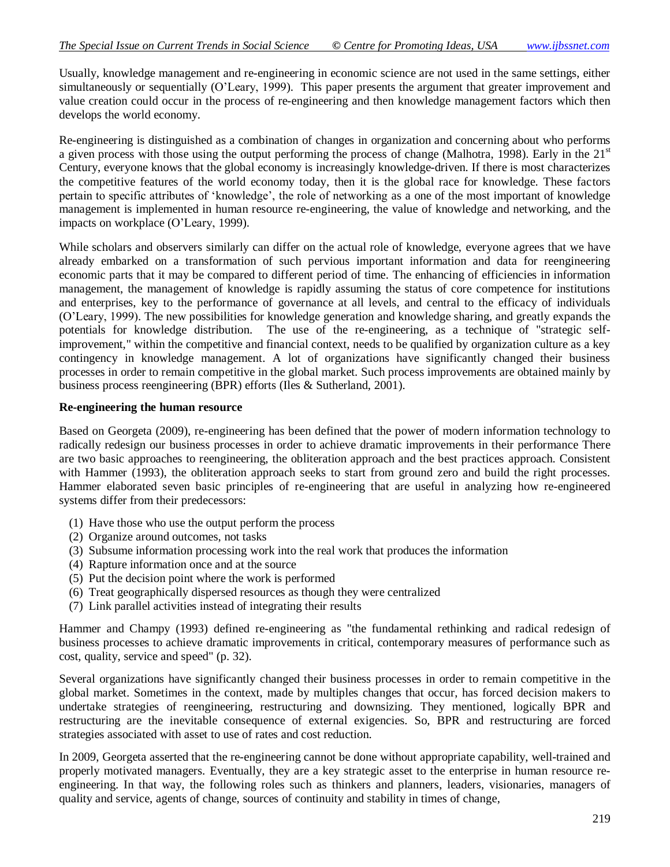Usually, knowledge management and re-engineering in economic science are not used in the same settings, either simultaneously or sequentially (O"Leary, 1999). This paper presents the argument that greater improvement and value creation could occur in the process of re-engineering and then knowledge management factors which then develops the world economy.

Re-engineering is distinguished as a combination of changes in organization and concerning about who performs a given process with those using the output performing the process of change (Malhotra, 1998). Early in the  $21<sup>st</sup>$ Century, everyone knows that the global economy is increasingly knowledge-driven. If there is most characterizes the competitive features of the world economy today, then it is the global race for knowledge. These factors pertain to specific attributes of "knowledge", the role of networking as a one of the most important of knowledge management is implemented in human resource re-engineering, the value of knowledge and networking, and the impacts on workplace (O"Leary, 1999).

While scholars and observers similarly can differ on the actual role of knowledge, everyone agrees that we have already embarked on a transformation of such pervious important information and data for reengineering economic parts that it may be compared to different period of time. The enhancing of efficiencies in information management, the management of knowledge is rapidly assuming the status of core competence for institutions and enterprises, key to the performance of governance at all levels, and central to the efficacy of individuals (O"Leary, 1999). The new possibilities for knowledge generation and knowledge sharing, and greatly expands the potentials for knowledge distribution. The use of the re-engineering, as a technique of "strategic selfimprovement," within the competitive and financial context, needs to be qualified by organization culture as a key contingency in knowledge management. A lot of organizations have significantly changed their business processes in order to remain competitive in the global market. Such process improvements are obtained mainly by business process reengineering (BPR) efforts (Iles & Sutherland, 2001).

#### **Re-engineering the human resource**

Based on Georgeta (2009), re-engineering has been defined that the power of modern information technology to radically redesign our business processes in order to achieve dramatic improvements in their performance There are two basic approaches to reengineering, the obliteration approach and the best practices approach. Consistent with Hammer (1993), the obliteration approach seeks to start from ground zero and build the right processes. Hammer elaborated seven basic principles of re-engineering that are useful in analyzing how re-engineered systems differ from their predecessors:

- (1) Have those who use the output perform the process
- (2) Organize around outcomes, not tasks
- (3) Subsume information processing work into the real work that produces the information
- (4) Rapture information once and at the source
- (5) Put the decision point where the work is performed
- (6) Treat geographically dispersed resources as though they were centralized
- (7) Link parallel activities instead of integrating their results

Hammer and Champy (1993) defined re-engineering as "the fundamental rethinking and radical redesign of business processes to achieve dramatic improvements in critical, contemporary measures of performance such as cost, quality, service and speed" (p. 32).

Several organizations have significantly changed their business processes in order to remain competitive in the global market. Sometimes in the context, made by multiples changes that occur, has forced decision makers to undertake strategies of reengineering, restructuring and downsizing. They mentioned, logically BPR and restructuring are the inevitable consequence of external exigencies. So, BPR and restructuring are forced strategies associated with asset to use of rates and cost reduction.

In 2009, Georgeta asserted that the re-engineering cannot be done without appropriate capability, well-trained and properly motivated managers. Eventually, they are a key strategic asset to the enterprise in human resource reengineering. In that way, the following roles such as thinkers and planners, leaders, visionaries, managers of quality and service, agents of change, sources of continuity and stability in times of change,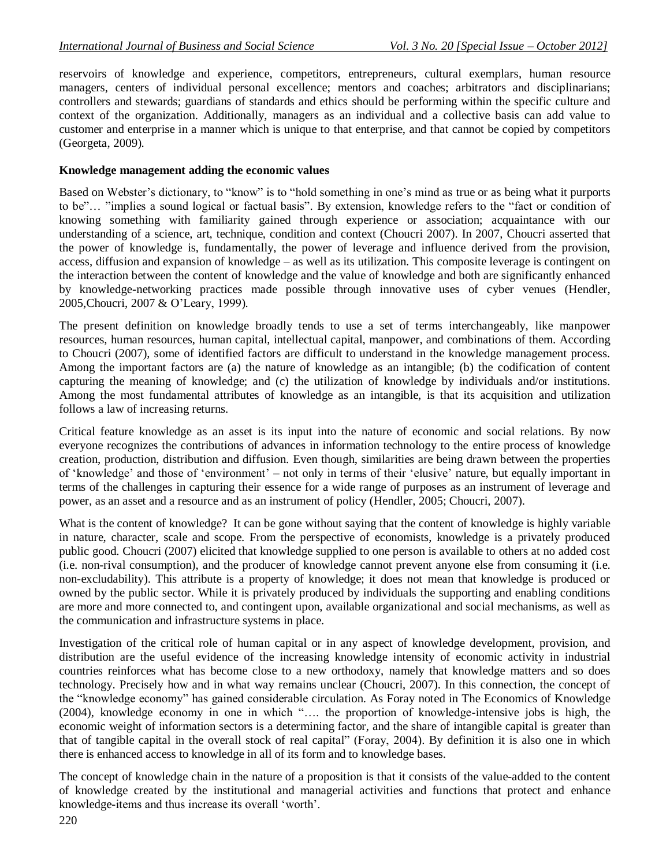reservoirs of knowledge and experience, competitors, entrepreneurs, cultural exemplars, human resource managers, centers of individual personal excellence; mentors and coaches; arbitrators and disciplinarians; controllers and stewards; guardians of standards and ethics should be performing within the specific culture and context of the organization. Additionally, managers as an individual and a collective basis can add value to customer and enterprise in a manner which is unique to that enterprise, and that cannot be copied by competitors (Georgeta, 2009).

#### **Knowledge management adding the economic values**

Based on Webster's dictionary, to "know" is to "hold something in one's mind as true or as being what it purports to be"… "implies a sound logical or factual basis". By extension, knowledge refers to the "fact or condition of knowing something with familiarity gained through experience or association; acquaintance with our understanding of a science, art, technique, condition and context (Choucri 2007). In 2007, Choucri asserted that the power of knowledge is, fundamentally, the power of leverage and influence derived from the provision, access, diffusion and expansion of knowledge – as well as its utilization. This composite leverage is contingent on the interaction between the content of knowledge and the value of knowledge and both are significantly enhanced by knowledge-networking practices made possible through innovative uses of cyber venues (Hendler, 2005,Choucri, 2007 & O"Leary, 1999).

The present definition on knowledge broadly tends to use a set of terms interchangeably, like manpower resources, human resources, human capital, intellectual capital, manpower, and combinations of them. According to Choucri (2007), some of identified factors are difficult to understand in the knowledge management process. Among the important factors are (a) the nature of knowledge as an intangible; (b) the codification of content capturing the meaning of knowledge; and (c) the utilization of knowledge by individuals and/or institutions. Among the most fundamental attributes of knowledge as an intangible, is that its acquisition and utilization follows a law of increasing returns*.* 

Critical feature knowledge as an asset is its input into the nature of economic and social relations. By now everyone recognizes the contributions of advances in information technology to the entire process of knowledge creation, production, distribution and diffusion. Even though, similarities are being drawn between the properties of "knowledge" and those of "environment" – not only in terms of their "elusive" nature, but equally important in terms of the challenges in capturing their essence for a wide range of purposes as an instrument of leverage and power, as an asset and a resource and as an instrument of policy (Hendler, 2005; Choucri, 2007).

What is the content of knowledge? It can be gone without saying that the content of knowledge is highly variable in nature, character, scale and scope. From the perspective of economists, knowledge is a privately produced public good. Choucri (2007) elicited that knowledge supplied to one person is available to others at no added cost (i.e. non-rival consumption), and the producer of knowledge cannot prevent anyone else from consuming it (i.e. non-excludability). This attribute is a property of knowledge; it does not mean that knowledge is produced or owned by the public sector. While it is privately produced by individuals the supporting and enabling conditions are more and more connected to, and contingent upon, available organizational and social mechanisms, as well as the communication and infrastructure systems in place.

Investigation of the critical role of human capital or in any aspect of knowledge development, provision, and distribution are the useful evidence of the increasing knowledge intensity of economic activity in industrial countries reinforces what has become close to a new orthodoxy, namely that knowledge matters and so does technology. Precisely how and in what way remains unclear (Choucri, 2007). In this connection, the concept of the "knowledge economy" has gained considerable circulation. As Foray noted in The Economics of Knowledge (2004), knowledge economy in one in which "…. the proportion of knowledge-intensive jobs is high, the economic weight of information sectors is a determining factor, and the share of intangible capital is greater than that of tangible capital in the overall stock of real capital" (Foray, 2004). By definition it is also one in which there is enhanced access to knowledge in all of its form and to knowledge bases.

The concept of knowledge chain in the nature of a proposition is that it consists of the value-added to the content of knowledge created by the institutional and managerial activities and functions that protect and enhance knowledge-items and thus increase its overall "worth".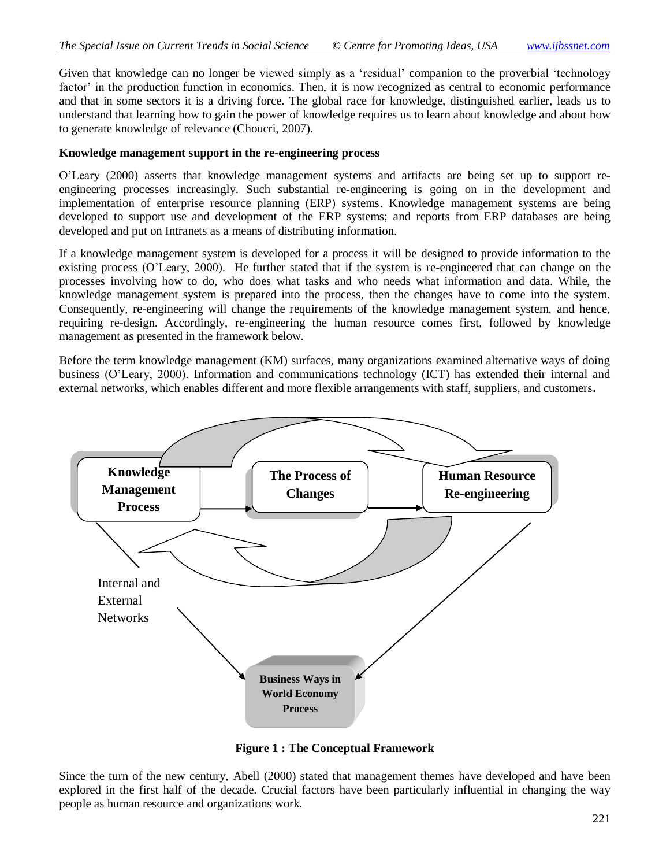Given that knowledge can no longer be viewed simply as a "residual" companion to the proverbial "technology factor' in the production function in economics. Then, it is now recognized as central to economic performance and that in some sectors it is a driving force. The global race for knowledge, distinguished earlier, leads us to understand that learning how to gain the power of knowledge requires us to learn about knowledge and about how to generate knowledge of relevance (Choucri, 2007).

#### **Knowledge management support in the re-engineering process**

O"Leary (2000) asserts that knowledge management systems and artifacts are being set up to support reengineering processes increasingly. Such substantial re-engineering is going on in the development and implementation of enterprise resource planning (ERP) systems. Knowledge management systems are being developed to support use and development of the ERP systems; and reports from ERP databases are being developed and put on Intranets as a means of distributing information.

If a knowledge management system is developed for a process it will be designed to provide information to the existing process (O"Leary, 2000). He further stated that if the system is re-engineered that can change on the processes involving how to do, who does what tasks and who needs what information and data. While, the knowledge management system is prepared into the process, then the changes have to come into the system. Consequently, re-engineering will change the requirements of the knowledge management system, and hence, requiring re-design. Accordingly, re-engineering the human resource comes first, followed by knowledge management as presented in the framework below.

Before the term knowledge management (KM) surfaces, many organizations examined alternative ways of doing business (O"Leary, 2000). Information and communications technology (ICT) has extended their internal and external networks, which enables different and more flexible arrangements with staff, suppliers, and customers**.**



**Figure 1 : The Conceptual Framework**

Since the turn of the new century, Abell (2000) stated that management themes have developed and have been explored in the first half of the decade. Crucial factors have been particularly influential in changing the way people as human resource and organizations work.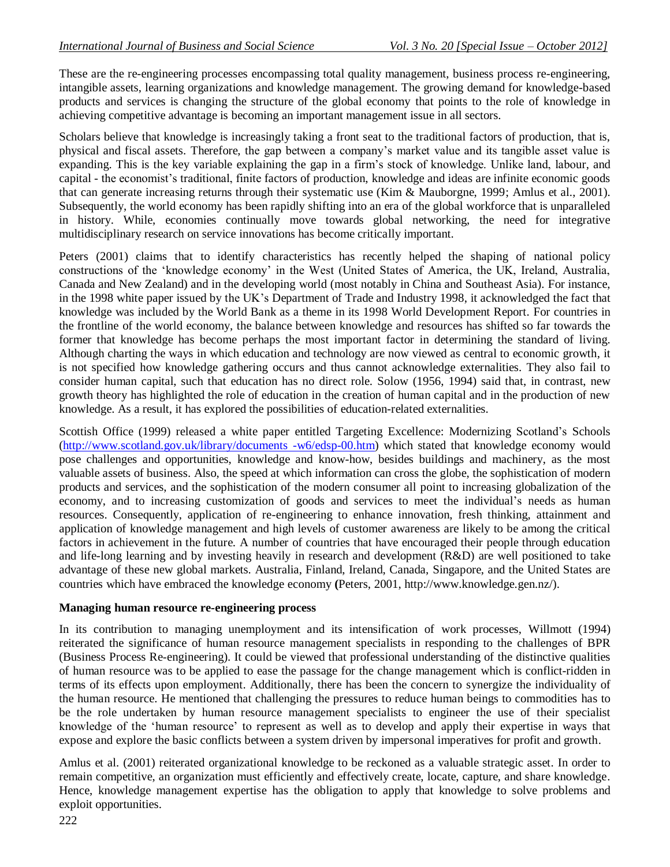These are the re-engineering processes encompassing total quality management, business process re-engineering, intangible assets, learning organizations and knowledge management. The growing demand for knowledge-based products and services is changing the structure of the global economy that points to the role of knowledge in achieving competitive advantage is becoming an important management issue in all sectors.

Scholars believe that knowledge is increasingly taking a front seat to the traditional factors of production, that is, physical and fiscal assets. Therefore, the gap between a company"s market value and its tangible asset value is expanding. This is the key variable explaining the gap in a firm"s stock of knowledge. Unlike land, labour, and capital - the economist"s traditional, finite factors of production, knowledge and ideas are infinite economic goods that can generate increasing returns through their systematic use (Kim & Mauborgne, 1999; Amlus et al., 2001). Subsequently, the world economy has been rapidly shifting into an era of the global workforce that is unparalleled in history. While, economies continually move towards global networking, the need for integrative multidisciplinary research on service innovations has become critically important.

Peters (2001) claims that to identify characteristics has recently helped the shaping of national policy constructions of the "knowledge economy" in the West (United States of America, the UK, Ireland, Australia, Canada and New Zealand) and in the developing world (most notably in China and Southeast Asia). For instance, in the 1998 white paper issued by the UK"s Department of Trade and Industry 1998, it acknowledged the fact that knowledge was included by the World Bank as a theme in its 1998 World Development Report. For countries in the frontline of the world economy, the balance between knowledge and resources has shifted so far towards the former that knowledge has become perhaps the most important factor in determining the standard of living. Although charting the ways in which education and technology are now viewed as central to economic growth, it is not specified how knowledge gathering occurs and thus cannot acknowledge externalities. They also fail to consider human capital, such that education has no direct role. Solow (1956, 1994) said that, in contrast, new growth theory has highlighted the role of education in the creation of human capital and in the production of new knowledge. As a result, it has explored the possibilities of education-related externalities.

Scottish Office (1999) released a white paper entitled Targeting Excellence: Modernizing Scotland"s Schools [\(http://www.scotland.gov.uk/library/documents -w6/edsp-00.htm\)](http://www.scotland.gov.uk/library/documents%20-w6/edsp-00.htm) which stated that knowledge economy would pose challenges and opportunities, knowledge and know-how, besides buildings and machinery, as the most valuable assets of business. Also, the speed at which information can cross the globe, the sophistication of modern products and services, and the sophistication of the modern consumer all point to increasing globalization of the economy, and to increasing customization of goods and services to meet the individual"s needs as human resources. Consequently, application of re-engineering to enhance innovation, fresh thinking, attainment and application of knowledge management and high levels of customer awareness are likely to be among the critical factors in achievement in the future. A number of countries that have encouraged their people through education and life-long learning and by investing heavily in research and development (R&D) are well positioned to take advantage of these new global markets. Australia, Finland, Ireland, Canada, Singapore, and the United States are countries which have embraced the knowledge economy **(**Peters, 2001, http://www.knowledge.gen.nz/).

#### **Managing human resource re-engineering process**

In its contribution to managing unemployment and its intensification of work processes, Willmott (1994) reiterated the significance of human resource management specialists in responding to the challenges of BPR (Business Process Re-engineering). It could be viewed that professional understanding of the distinctive qualities of human resource was to be applied to ease the passage for the change management which is conflict-ridden in terms of its effects upon employment. Additionally, there has been the concern to synergize the individuality of the human resource. He mentioned that challenging the pressures to reduce human beings to commodities has to be the role undertaken by human resource management specialists to engineer the use of their specialist knowledge of the "human resource" to represent as well as to develop and apply their expertise in ways that expose and explore the basic conflicts between a system driven by impersonal imperatives for profit and growth.

Amlus et al. (2001) reiterated organizational knowledge to be reckoned as a valuable strategic asset. In order to remain competitive, an organization must efficiently and effectively create, locate, capture, and share knowledge. Hence, knowledge management expertise has the obligation to apply that knowledge to solve problems and exploit opportunities.